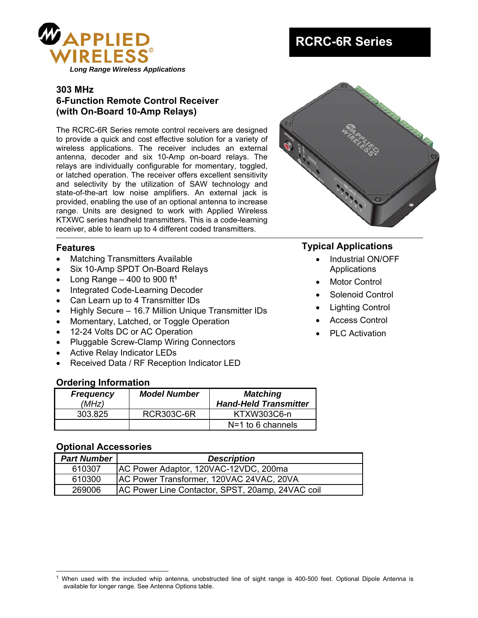

### **303 MHz 6-Function Remote Control Receiver (with On-Board 10-Amp Relays)**

The RCRC-6R Series remote control receivers are designed to provide a quick and cost effective solution for a variety of wireless applications. The receiver includes an external antenna, decoder and six 10-Amp on-board relays. The relays are individually configurable for momentary, toggled, or latched operation. The receiver offers excellent sensitivity and selectivity by the utilization of SAW technology and state-of-the-art low noise amplifiers. An external jack is provided, enabling the use of an optional antenna to increase range. Units are designed to work with Applied Wireless KTXWC series handheld transmitters. This is a code-learning receiver, able to learn up to 4 different coded transmitters.

### **Features**

- Matching Transmitters Available
- Six 10-Amp SPDT On-Board Relays
- Long Range  $-$  400 to 900 ft<sup>1</sup>
- Integrated Code-Learning Decoder
- Can Learn up to 4 Transmitter IDs
- Highly Secure 16.7 Million Unique Transmitter IDs
- Momentary, Latched, or Toggle Operation
- 12-24 Volts DC or AC Operation
- Pluggable Screw-Clamp Wiring Connectors
- Active Relay Indicator LEDs
- Received Data / RF Reception Indicator LED

### **Ordering Information**

| <b>Frequency</b><br>(MHz) | <b>Model Number</b> | <b>Matching</b><br><b>Hand-Held Transmitter</b> |
|---------------------------|---------------------|-------------------------------------------------|
| 303.825                   | <b>RCR303C-6R</b>   | KTXW303C6-n                                     |
|                           |                     | $N=1$ to 6 channels                             |

### **Optional Accessories**

 $\overline{\phantom{a}}$ 

| <b>Part Number</b> | <b>Description</b>                               |
|--------------------|--------------------------------------------------|
| 610307             | AC Power Adaptor, 120VAC-12VDC, 200ma            |
| 610300             | AC Power Transformer, 120VAC 24VAC, 20VA         |
| 269006             | AC Power Line Contactor, SPST, 20amp, 24VAC coil |

# **RCRC-6R Series**



# **Typical Applications**

- Industrial ON/OFF **Applications**
- Motor Control
- Solenoid Control
- Lighting Control
- Access Control
- PLC Activation

 $1$  When used with the included whip antenna, unobstructed line of sight range is 400-500 feet. Optional Dipole Antenna is available for longer range. See Antenna Options table.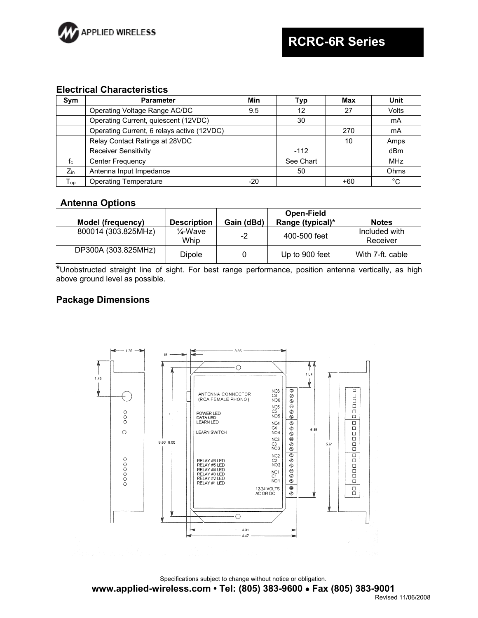

#### **Electrical Characteristics**

| Sym             | <b>Parameter</b>                           | Min | Typ       | Max | Unit       |
|-----------------|--------------------------------------------|-----|-----------|-----|------------|
|                 | Operating Voltage Range AC/DC              | 9.5 | 12        | 27  | Volts      |
|                 | Operating Current, quiescent (12VDC)       |     | 30        |     | mA         |
|                 | Operating Current, 6 relays active (12VDC) |     |           | 270 | mA         |
|                 | Relay Contact Ratings at 28VDC             |     |           | 10  | Amps       |
|                 | <b>Receiver Sensitivity</b>                |     | $-112$    |     | dBm        |
| $f_c$           | <b>Center Frequency</b>                    |     | See Chart |     | <b>MHz</b> |
| $Z_{\text{in}}$ | Antenna Input Impedance                    |     | 50        |     | Ohms       |
| $T_{op}$        | <b>Operating Temperature</b>               | -20 |           | +60 | °C         |

### **Antenna Options**

|                     |                    |            | Open-Field       |                           |
|---------------------|--------------------|------------|------------------|---------------------------|
| Model (frequency)   | <b>Description</b> | Gain (dBd) | Range (typical)* | <b>Notes</b>              |
| 800014 (303.825MHz) | 1⁄4-Wave<br>Whip   | -2         | 400-500 feet     | Included with<br>Receiver |
| DP300A (303.825MHz) | <b>Dipole</b>      |            | Up to 900 feet   | With 7-ft, cable          |

**\***Unobstructed straight line of sight. For best range performance, position antenna vertically, as high above ground level as possible.

### **Package Dimensions**



Specifications subject to change without notice or obligation.

**www.applied-wireless.com • Tel: (805) 383-9600 Fax (805) 383-9001**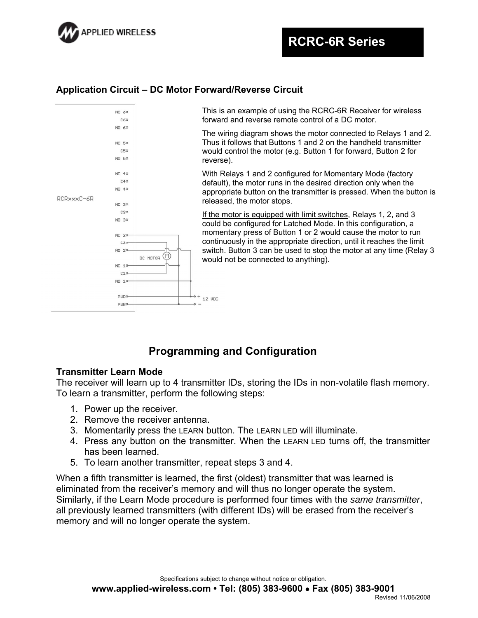

# **Application Circuit – DC Motor Forward/Reverse Circuit**



# **Programming and Configuration**

### **Transmitter Learn Mode**

The receiver will learn up to 4 transmitter IDs, storing the IDs in non-volatile flash memory. To learn a transmitter, perform the following steps:

- 1. Power up the receiver.
- 2. Remove the receiver antenna.
- 3. Momentarily press the LEARN button. The LEARN LED will illuminate.
- 4. Press any button on the transmitter. When the LEARN LED turns off, the transmitter has been learned.
- 5. To learn another transmitter, repeat steps 3 and 4.

When a fifth transmitter is learned, the first (oldest) transmitter that was learned is eliminated from the receiver's memory and will thus no longer operate the system. Similarly, if the Learn Mode procedure is performed four times with the *same transmitter*, all previously learned transmitters (with different IDs) will be erased from the receiver's memory and will no longer operate the system.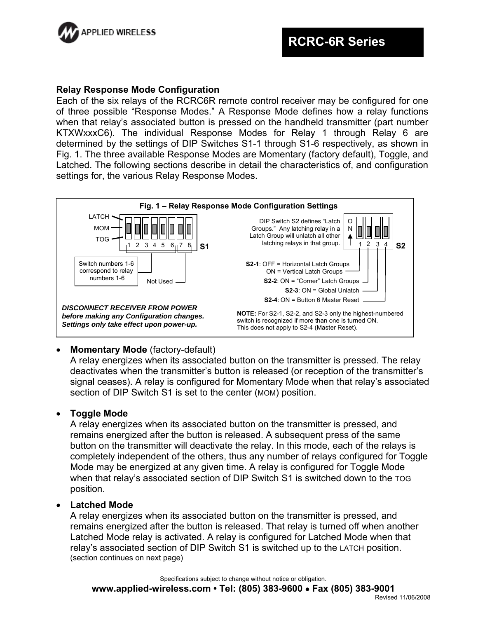

### **Relay Response Mode Configuration**

Each of the six relays of the RCRC6R remote control receiver may be configured for one of three possible "Response Modes." A Response Mode defines how a relay functions when that relay's associated button is pressed on the handheld transmitter (part number KTXWxxxC6). The individual Response Modes for Relay 1 through Relay 6 are determined by the settings of DIP Switches S1-1 through S1-6 respectively, as shown in Fig. 1. The three available Response Modes are Momentary (factory default), Toggle, and Latched. The following sections describe in detail the characteristics of, and configuration settings for, the various Relay Response Modes.



### **Momentary Mode** (factory-default)

A relay energizes when its associated button on the transmitter is pressed. The relay deactivates when the transmitter's button is released (or reception of the transmitter's signal ceases). A relay is configured for Momentary Mode when that relay's associated section of DIP Switch S1 is set to the center (MOM) position.

### **Toggle Mode**

A relay energizes when its associated button on the transmitter is pressed, and remains energized after the button is released. A subsequent press of the same button on the transmitter will deactivate the relay. In this mode, each of the relays is completely independent of the others, thus any number of relays configured for Toggle Mode may be energized at any given time. A relay is configured for Toggle Mode when that relay's associated section of DIP Switch S1 is switched down to the TOG position.

### **Latched Mode**

A relay energizes when its associated button on the transmitter is pressed, and remains energized after the button is released. That relay is turned off when another Latched Mode relay is activated. A relay is configured for Latched Mode when that relay's associated section of DIP Switch S1 is switched up to the LATCH position. (section continues on next page)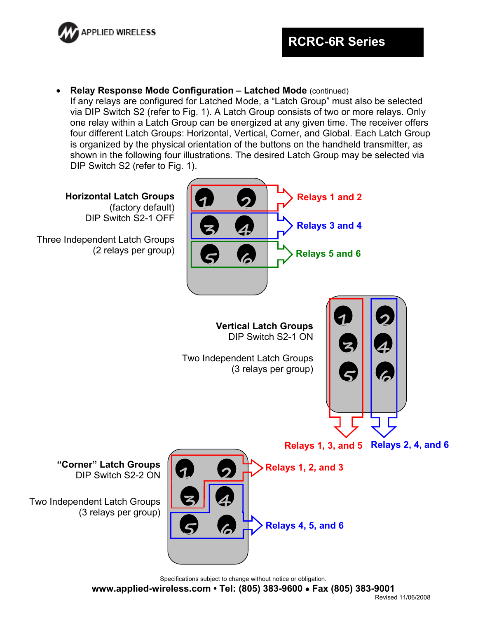

**Relay Response Mode Configuration – Latched Mode** (continued)

If any relays are configured for Latched Mode, a "Latch Group" must also be selected via DIP Switch S2 (refer to Fig. 1). A Latch Group consists of two or more relays. Only one relay within a Latch Group can be energized at any given time. The receiver offers four different Latch Groups: Horizontal, Vertical, Corner, and Global. Each Latch Group is organized by the physical orientation of the buttons on the handheld transmitter, as shown in the following four illustrations. The desired Latch Group may be selected via DIP Switch S2 (refer to Fig. 1).

**Horizontal Latch Groups**  (factory default) DIP Switch S2-1 OFF

Three Independent Latch Groups (2 relays per group)



**Vertical Latch Groups**  DIP Switch S2-1 ON

Two Independent Latch Groups (3 relays per group)



**Relays 1, 3, and 5 Relays 2, 4, and 6** 



**"Corner" Latch Groups** DIP Switch S2-2 ON

Two Independent Latch Groups (3 relays per group)

Specifications subject to change without notice or obligation.

**www.applied-wireless.com • Tel: (805) 383-9600 Fax (805) 383-9001**